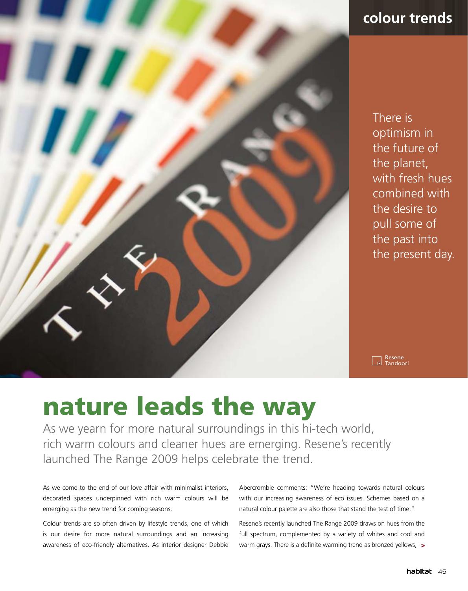

# **colour trends**

There is optimism in the future of the planet, with fresh hues combined with the desire to pull some of the past into the present day.

Resene<br>Tandoori  $\overline{1}$ 

# nature leads the way

As we yearn for more natural surroundings in this hi-tech world, rich warm colours and cleaner hues are emerging. Resene's recently launched The Range 2009 helps celebrate the trend.

As we come to the end of our love affair with minimalist interiors, decorated spaces underpinned with rich warm colours will be emerging as the new trend for coming seasons.

Colour trends are so often driven by lifestyle trends, one of which is our desire for more natural surroundings and an increasing awareness of eco-friendly alternatives. As interior designer Debbie Abercrombie comments: "We're heading towards natural colours with our increasing awareness of eco issues. Schemes based on a natural colour palette are also those that stand the test of time."

Resene's recently launched The Range 2009 draws on hues from the full spectrum, complemented by a variety of whites and cool and warm grays. There is a definite warming trend as bronzed yellows, >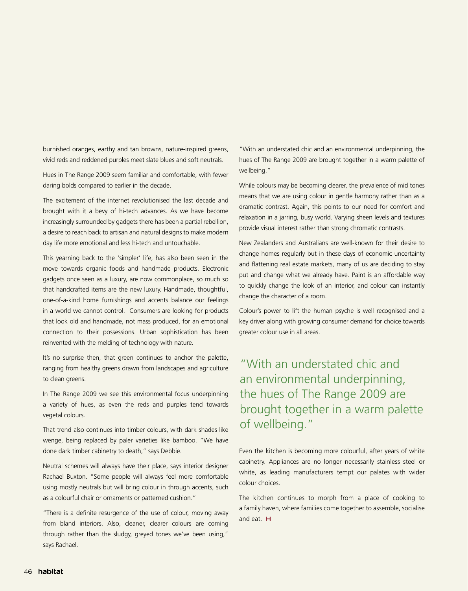burnished oranges, earthy and tan browns, nature-inspired greens, vivid reds and reddened purples meet slate blues and soft neutrals.

Hues in The Range 2009 seem familiar and comfortable, with fewer daring bolds compared to earlier in the decade.

The excitement of the internet revolutionised the last decade and brought with it a bevy of hi-tech advances. As we have become increasingly surrounded by gadgets there has been a partial rebellion, a desire to reach back to artisan and natural designs to make modern day life more emotional and less hi-tech and untouchable.

This yearning back to the 'simpler' life, has also been seen in the move towards organic foods and handmade products. Electronic gadgets once seen as a luxury, are now commonplace, so much so that handcrafted items are the new luxury. Handmade, thoughtful, one-of-a-kind home furnishings and accents balance our feelings in a world we cannot control. Consumers are looking for products that look old and handmade, not mass produced, for an emotional connection to their possessions. Urban sophistication has been reinvented with the melding of technology with nature.

It's no surprise then, that green continues to anchor the palette, ranging from healthy greens drawn from landscapes and agriculture to clean greens.

In The Range 2009 we see this environmental focus underpinning a variety of hues, as even the reds and purples tend towards vegetal colours.

That trend also continues into timber colours, with dark shades like wenge, being replaced by paler varieties like bamboo. "We have done dark timber cabinetry to death," says Debbie.

Neutral schemes will always have their place, says interior designer Rachael Buxton. "Some people will always feel more comfortable using mostly neutrals but will bring colour in through accents, such as a colourful chair or ornaments or patterned cushion."

"There is a definite resurgence of the use of colour, moving away from bland interiors. Also, cleaner, clearer colours are coming through rather than the sludgy, greyed tones we've been using," says Rachael.

"With an understated chic and an environmental underpinning, the hues of The Range 2009 are brought together in a warm palette of wellbeing."

While colours may be becoming clearer, the prevalence of mid tones means that we are using colour in gentle harmony rather than as a dramatic contrast. Again, this points to our need for comfort and relaxation in a jarring, busy world. Varying sheen levels and textures provide visual interest rather than strong chromatic contrasts.

New Zealanders and Australians are well-known for their desire to change homes regularly but in these days of economic uncertainty and flattening real estate markets, many of us are deciding to stay put and change what we already have. Paint is an affordable way to quickly change the look of an interior, and colour can instantly change the character of a room.

Colour's power to lift the human psyche is well recognised and a key driver along with growing consumer demand for choice towards greater colour use in all areas.

# "With an understated chic and an environmental underpinning, the hues of The Range 2009 are brought together in a warm palette of wellbeing."

Even the kitchen is becoming more colourful, after years of white cabinetry. Appliances are no longer necessarily stainless steel or white, as leading manufacturers tempt our palates with wider colour choices.

The kitchen continues to morph from a place of cooking to a family haven, where families come together to assemble, socialise and eat. H